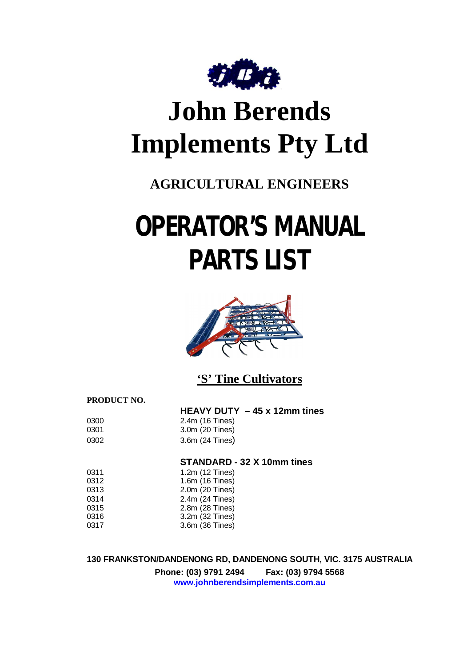

## **John Berends Implements Pty Ltd**

## **AGRICULTURAL ENGINEERS**

# **OPERATOR'S MANUAL PARTS LIST**



**'S' Tine Cultivators**

**PRODUCT NO.**

|      | HEAVY DUTY $-45 \times 12$ mm tines |
|------|-------------------------------------|
| 0300 | 2.4m (16 Tines)                     |
| 0301 | 3.0m (20 Tines)                     |
| 0302 | 3.6m (24 Tines)                     |

**STANDARD - 32 X 10mm tines** 

| 0311 | 1.2m (12 Tines) |
|------|-----------------|
| 0312 | 1.6m (16 Tines) |
| 0313 | 2.0m (20 Tines) |
| 0314 | 2.4m (24 Tines) |
| 0315 | 2.8m (28 Tines) |
| 0316 | 3.2m (32 Tines) |
| 0317 | 3.6m (36 Tines) |

**130 FRANKSTON/DANDENONG RD, DANDENONG SOUTH, VIC. 3175 AUSTRALIA Phone: (03) 9791 2494 Fax: (03) 9794 5568 [www.johnberendsimplements.com.au](http://www.johnberendsimplements.com.au)**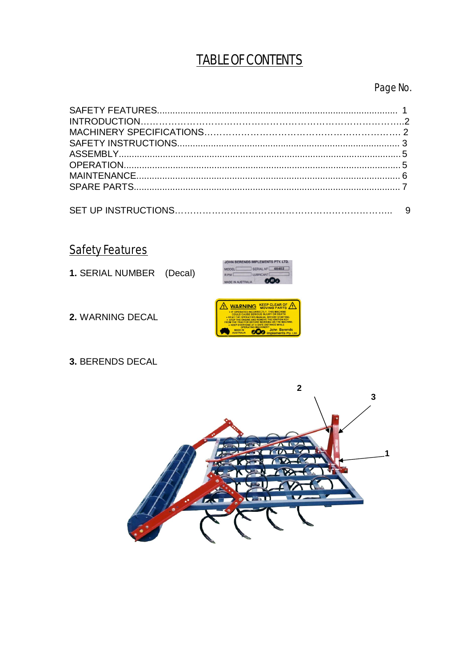## **TABLE OF CONTENTS**

Page No.

**Safety Features** 

1. SERIAL NUMBER (Decal)



2. WARNING DECAL



3. BERENDS DECAL

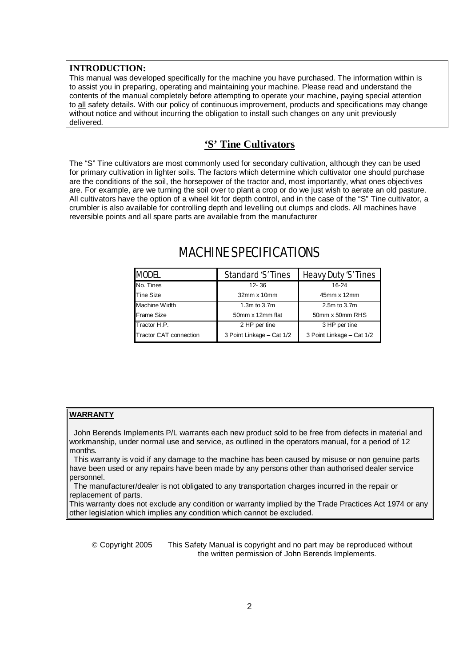#### **INTRODUCTION:**

This manual was developed specifically for the machine you have purchased. The information within is to assist you in preparing, operating and maintaining your machine. Please read and understand the contents of the manual completely before attempting to operate your machine, paying special attention to all safety details. With our policy of continuous improvement, products and specifications may change without notice and without incurring the obligation to install such changes on any unit previously delivered.

#### **'S' Tine Cultivators**

The "S" Tine cultivators are most commonly used for secondary cultivation, although they can be used for primary cultivation in lighter soils. The factors which determine which cultivator one should purchase are the conditions of the soil, the horsepower of the tractor and, most importantly, what ones objectives are. For example, are we turning the soil over to plant a crop or do we just wish to aerate an old pasture. All cultivators have the option of a wheel kit for depth control, and in the case of the "S" Tine cultivator, a crumbler is also available for controlling depth and levelling out clumps and clods. All machines have reversible points and all spare parts are available from the manufacturer

| <b>MODEL</b>                  | Standard 'S' Tines        | Heavy Duty 'S' Tines      |
|-------------------------------|---------------------------|---------------------------|
| No. Tines                     | $12 - 36$                 | 16-24                     |
| <b>Tine Size</b>              | $32$ mm x 10mm            | 45mm x 12mm               |
| Machine Width                 | 1.3m to 3.7m              | 2.5m to 3.7m              |
| <b>Frame Size</b>             | 50mm x 12mm flat          | 50mm x 50mm RHS           |
| Tractor H.P.                  | 2 HP per tine             | 3 HP per tine             |
| <b>Tractor CAT connection</b> | 3 Point Linkage - Cat 1/2 | 3 Point Linkage - Cat 1/2 |

### MACHINE SPECIFICATIONS

#### **WARRANTY**

 John Berends Implements P/L warrants each new product sold to be free from defects in material and workmanship, under normal use and service, as outlined in the operators manual, for a period of 12 months.

 This warranty is void if any damage to the machine has been caused by misuse or non genuine parts have been used or any repairs have been made by any persons other than authorised dealer service personnel.

 The manufacturer/dealer is not obligated to any transportation charges incurred in the repair or replacement of parts.

This warranty does not exclude any condition or warranty implied by the Trade Practices Act 1974 or any other legislation which implies any condition which cannot be excluded.

 Copyright 2005 This Safety Manual is copyright and no part may be reproduced without the written permission of John Berends Implements.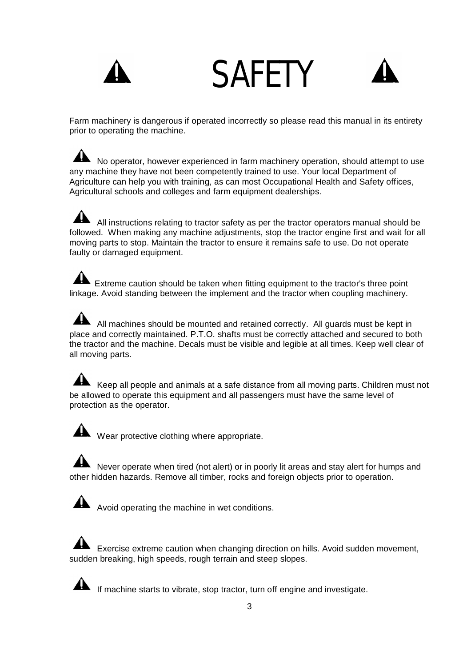# SAFETY



Farm machinery is dangerous if operated incorrectly so please read this manual in its entirety prior to operating the machine.

No operator, however experienced in farm machinery operation, should attempt to use any machine they have not been competently trained to use. Your local Department of Agriculture can help you with training, as can most Occupational Health and Safety offices, Agricultural schools and colleges and farm equipment dealerships.

 All instructions relating to tractor safety as per the tractor operators manual should be followed. When making any machine adjustments, stop the tractor engine first and wait for all moving parts to stop. Maintain the tractor to ensure it remains safe to use. Do not operate faulty or damaged equipment.

Extreme caution should be taken when fitting equipment to the tractor's three point linkage. Avoid standing between the implement and the tractor when coupling machinery.

All machines should be mounted and retained correctly. All guards must be kept in place and correctly maintained. P.T.O. shafts must be correctly attached and secured to both the tractor and the machine. Decals must be visible and legible at all times. Keep well clear of all moving parts.

Keep all people and animals at a safe distance from all moving parts. Children must not be allowed to operate this equipment and all passengers must have the same level of protection as the operator.

Wear protective clothing where appropriate.

Never operate when tired (not alert) or in poorly lit areas and stay alert for humps and other hidden hazards. Remove all timber, rocks and foreign objects prior to operation.

Avoid operating the machine in wet conditions.

Exercise extreme caution when changing direction on hills. Avoid sudden movement, sudden breaking, high speeds, rough terrain and steep slopes.

If machine starts to vibrate, stop tractor, turn off engine and investigate.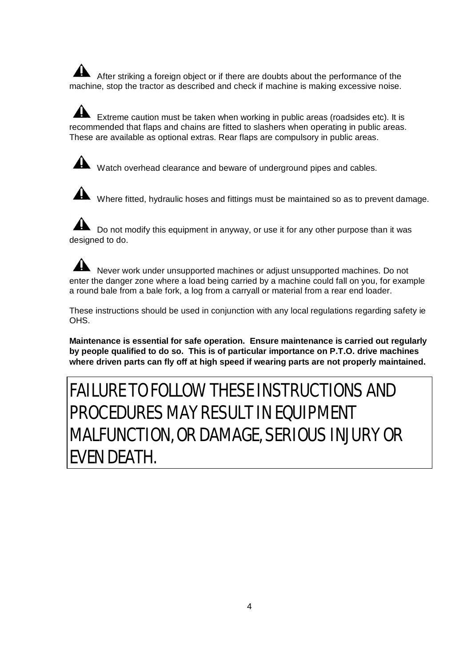After striking a foreign object or if there are doubts about the performance of the machine, stop the tractor as described and check if machine is making excessive noise.

 Extreme caution must be taken when working in public areas (roadsides etc). It is recommended that flaps and chains are fitted to slashers when operating in public areas. These are available as optional extras. Rear flaps are compulsory in public areas.



Watch overhead clearance and beware of underground pipes and cables.

Where fitted, hydraulic hoses and fittings must be maintained so as to prevent damage.

Do not modify this equipment in anyway, or use it for any other purpose than it was designed to do.

Never work under unsupported machines or adjust unsupported machines. Do not enter the danger zone where a load being carried by a machine could fall on you, for example a round bale from a bale fork, a log from a carryall or material from a rear end loader.

These instructions should be used in conjunction with any local regulations regarding safety ie OHS.

**Maintenance is essential for safe operation. Ensure maintenance is carried out regularly by people qualified to do so. This is of particular importance on P.T.O. drive machines where driven parts can fly off at high speed if wearing parts are not properly maintained.** 

## FAILURE TO FOLLOW THESE INSTRUCTIONS AND PROCEDURES MAY RESULT IN EQUIPMENT MALFUNCTION, OR DAMAGE, SERIOUS INJURY OR EVEN DEATH.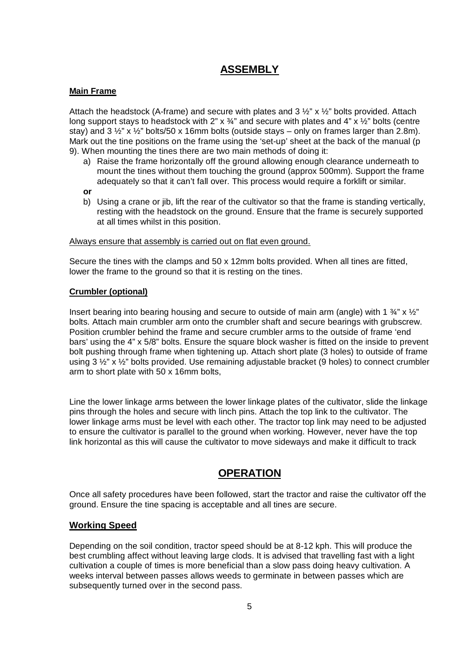#### **ASSEMBLY**

#### **Main Frame**

Attach the headstock (A-frame) and secure with plates and  $3\frac{1}{2}$ " x  $\frac{1}{2}$ " bolts provided. Attach long support stays to headstock with 2"  $\times$  34" and secure with plates and 4"  $\times$  1/2" bolts (centre stay) and  $3 \frac{1}{2}$ " x  $\frac{1}{2}$ " bolts/50 x 16mm bolts (outside stays – only on frames larger than 2.8m). Mark out the tine positions on the frame using the 'set-up' sheet at the back of the manual (p 9). When mounting the tines there are two main methods of doing it:

- a) Raise the frame horizontally off the ground allowing enough clearance underneath to mount the tines without them touching the ground (approx 500mm). Support the frame adequately so that it can't fall over. This process would require a forklift or similar.
- **or**
- b) Using a crane or jib, lift the rear of the cultivator so that the frame is standing vertically, resting with the headstock on the ground. Ensure that the frame is securely supported at all times whilst in this position.

#### Always ensure that assembly is carried out on flat even ground.

Secure the tines with the clamps and 50 x 12mm bolts provided. When all tines are fitted, lower the frame to the ground so that it is resting on the tines.

#### **Crumbler (optional)**

Insert bearing into bearing housing and secure to outside of main arm (angle) with 1  $\frac{3}{4}$ " x  $\frac{1}{2}$ " bolts. Attach main crumbler arm onto the crumbler shaft and secure bearings with grubscrew. Position crumbler behind the frame and secure crumbler arms to the outside of frame 'end bars' using the 4" x 5/8" bolts. Ensure the square block washer is fitted on the inside to prevent bolt pushing through frame when tightening up. Attach short plate (3 holes) to outside of frame using 3 ½" x ½" bolts provided. Use remaining adjustable bracket (9 holes) to connect crumbler arm to short plate with 50 x 16mm bolts,

Line the lower linkage arms between the lower linkage plates of the cultivator, slide the linkage pins through the holes and secure with linch pins. Attach the top link to the cultivator. The lower linkage arms must be level with each other. The tractor top link may need to be adjusted to ensure the cultivator is parallel to the ground when working. However, never have the top link horizontal as this will cause the cultivator to move sideways and make it difficult to track

#### **OPERATION**

Once all safety procedures have been followed, start the tractor and raise the cultivator off the ground. Ensure the tine spacing is acceptable and all tines are secure.

#### **Working Speed**

Depending on the soil condition, tractor speed should be at 8-12 kph. This will produce the best crumbling affect without leaving large clods. It is advised that travelling fast with a light cultivation a couple of times is more beneficial than a slow pass doing heavy cultivation. A weeks interval between passes allows weeds to germinate in between passes which are subsequently turned over in the second pass.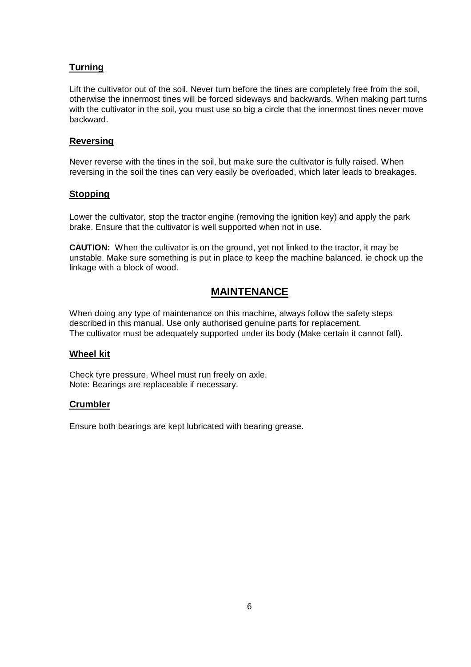#### **Turning**

Lift the cultivator out of the soil. Never turn before the tines are completely free from the soil, otherwise the innermost tines will be forced sideways and backwards. When making part turns with the cultivator in the soil, you must use so big a circle that the innermost tines never move backward.

#### **Reversing**

Never reverse with the tines in the soil, but make sure the cultivator is fully raised. When reversing in the soil the tines can very easily be overloaded, which later leads to breakages.

#### **Stopping**

Lower the cultivator, stop the tractor engine (removing the ignition key) and apply the park brake. Ensure that the cultivator is well supported when not in use.

**CAUTION:** When the cultivator is on the ground, yet not linked to the tractor, it may be unstable. Make sure something is put in place to keep the machine balanced. ie chock up the linkage with a block of wood.

#### **MAINTENANCE**

When doing any type of maintenance on this machine, always follow the safety steps described in this manual. Use only authorised genuine parts for replacement. The cultivator must be adequately supported under its body (Make certain it cannot fall).

#### **Wheel kit**

Check tyre pressure. Wheel must run freely on axle. Note: Bearings are replaceable if necessary.

#### **Crumbler**

Ensure both bearings are kept lubricated with bearing grease.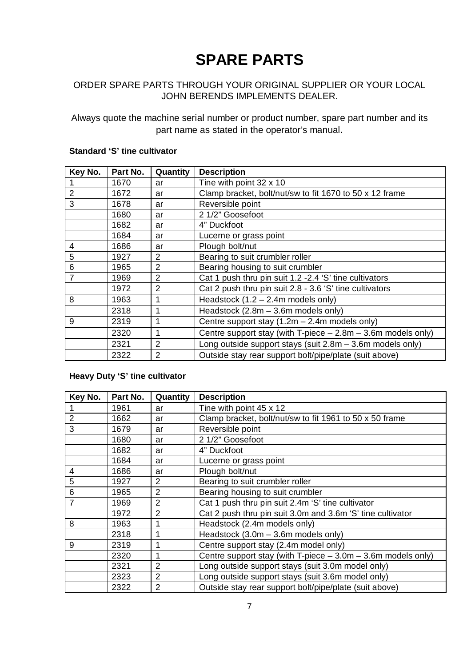## **SPARE PARTS**

#### ORDER SPARE PARTS THROUGH YOUR ORIGINAL SUPPLIER OR YOUR LOCAL JOHN BERENDS IMPLEMENTS DEALER.

Always quote the machine serial number or product number, spare part number and its part name as stated in the operator's manual.

| Key No.        | Part No. | Quantity       | <b>Description</b>                                            |
|----------------|----------|----------------|---------------------------------------------------------------|
|                | 1670     | ar             | Tine with point 32 x 10                                       |
| $\overline{2}$ | 1672     | ar             | Clamp bracket, bolt/nut/sw to fit 1670 to 50 x 12 frame       |
| 3              | 1678     | ar             | Reversible point                                              |
|                | 1680     | ar             | 2 1/2" Goosefoot                                              |
|                | 1682     | ar             | 4" Duckfoot                                                   |
|                | 1684     | ar             | Lucerne or grass point                                        |
| 4              | 1686     | ar             | Plough bolt/nut                                               |
| 5              | 1927     | 2              | Bearing to suit crumbler roller                               |
| 6              | 1965     | 2              | Bearing housing to suit crumbler                              |
| $\overline{7}$ | 1969     | 2              | Cat 1 push thru pin suit 1.2 -2.4 'S' tine cultivators        |
|                | 1972     | 2              | Cat 2 push thru pin suit 2.8 - 3.6 'S' tine cultivators       |
| 8              | 1963     | 1              | Headstock $(1.2 - 2.4m$ models only)                          |
|                | 2318     | 1              | Headstock (2.8m - 3.6m models only)                           |
| 9              | 2319     | 1              | Centre support stay $(1.2m - 2.4m$ models only)               |
|                | 2320     | 1              | Centre support stay (with T-piece $-2.8m - 3.6m$ models only) |
|                | 2321     | 2              | Long outside support stays (suit $2.8m - 3.6m$ models only)   |
|                | 2322     | $\overline{2}$ | Outside stay rear support bolt/pipe/plate (suit above)        |

#### **Standard 'S' tine cultivator**

#### **Heavy Duty 'S' tine cultivator**

| Key No. | Part No. | Quantity       | <b>Description</b>                                            |
|---------|----------|----------------|---------------------------------------------------------------|
|         | 1961     | ar             | Tine with point 45 x 12                                       |
| 2       | 1662     | ar             | Clamp bracket, bolt/nut/sw to fit 1961 to 50 x 50 frame       |
| 3       | 1679     | ar             | Reversible point                                              |
|         | 1680     | ar             | 2 1/2" Goosefoot                                              |
|         | 1682     | ar             | 4" Duckfoot                                                   |
|         | 1684     | ar             | Lucerne or grass point                                        |
| 4       | 1686     | ar             | Plough bolt/nut                                               |
| 5       | 1927     | 2              | Bearing to suit crumbler roller                               |
| 6       | 1965     | $\overline{2}$ | Bearing housing to suit crumbler                              |
|         | 1969     | $\overline{2}$ | Cat 1 push thru pin suit 2.4m 'S' tine cultivator             |
|         | 1972     | $\overline{2}$ | Cat 2 push thru pin suit 3.0m and 3.6m 'S' tine cultivator    |
| 8       | 1963     | 1              | Headstock (2.4m models only)                                  |
|         | 2318     | 1              | Headstock (3.0m - 3.6m models only)                           |
| 9       | 2319     | 1              | Centre support stay (2.4m model only)                         |
|         | 2320     | 1              | Centre support stay (with T-piece $-3.0m - 3.6m$ models only) |
|         | 2321     | $\overline{2}$ | Long outside support stays (suit 3.0m model only)             |
|         | 2323     | 2              | Long outside support stays (suit 3.6m model only)             |
|         | 2322     | $\overline{2}$ | Outside stay rear support bolt/pipe/plate (suit above)        |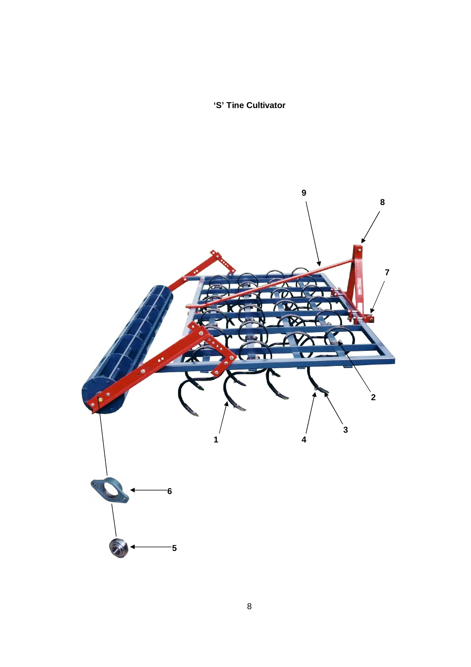**'S' Tine Cultivator**

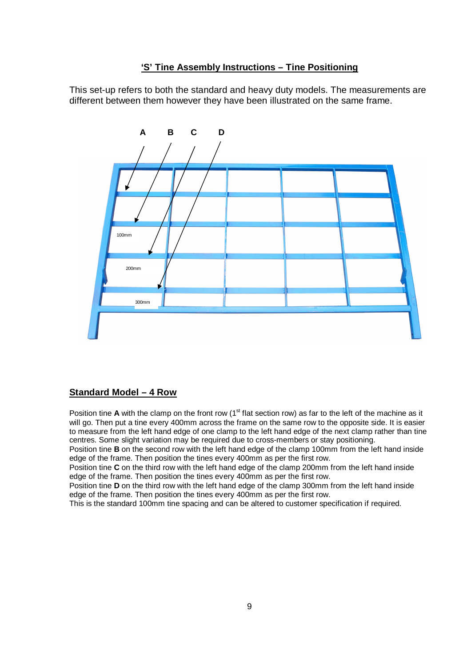#### **'S' Tine Assembly Instructions – Tine Positioning**

This set-up refers to both the standard and heavy duty models. The measurements are different between them however they have been illustrated on the same frame.



#### **Standard Model – 4 Row**

Position tine **A** with the clamp on the front row (1<sup>st</sup> flat section row) as far to the left of the machine as it will go. Then put a tine every 400mm across the frame on the same row to the opposite side. It is easier to measure from the left hand edge of one clamp to the left hand edge of the next clamp rather than tine centres. Some slight variation may be required due to cross-members or stay positioning.

Position tine **B** on the second row with the left hand edge of the clamp 100mm from the left hand inside edge of the frame. Then position the tines every 400mm as per the first row.

Position tine **C** on the third row with the left hand edge of the clamp 200mm from the left hand inside edge of the frame. Then position the tines every 400mm as per the first row.

Position tine **D** on the third row with the left hand edge of the clamp 300mm from the left hand inside edge of the frame. Then position the tines every 400mm as per the first row.

This is the standard 100mm tine spacing and can be altered to customer specification if required.